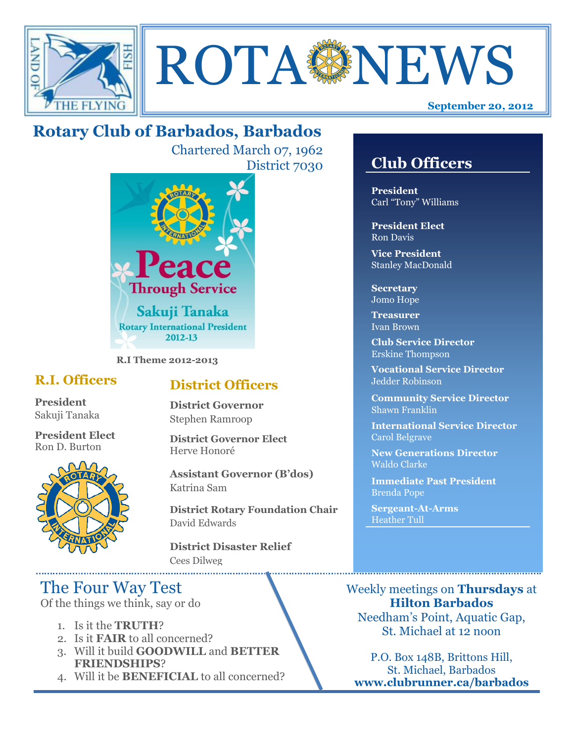



## **Rotary Club of Barbados, Barbados**

Chartered March 07, 1962 District 7030



**R.I Theme 2012-2013**

#### **R.I. Officers**

**President**  Sakuji Tanaka

**President Elect** Ron D. Burton



#### **District Officers**

**District Governor** Stephen Ramroop

**District Governor Elect** Herve Honoré

**Assistant Governor (B'dos)** Katrina Sam

**District Rotary Foundation Chair** David Edwards

**District Disaster Relief** Cees Dilweg

### The Four Way Test

Of the things we think, say or do

- 1. Is it the **TRUTH**?
- 2. Is it **FAIR** to all concerned?
- 3. Will it build **GOODWILL** and **BETTER FRIENDSHIPS**?
- 4. Will it be **BENEFICIAL** to all concerned?

#### **Club Officers**

**Club Officers** 

**President** Carl "Tony" Williams

**President Elect** Ron Davis

**Vice President** Stanley MacDonald

**Secretary** Jomo Hope

**Treasurer** Ivan Brown

**Club Service Director** Erskine Thompson

**Vocational Service Director** Jedder Robinson

**Community Service Director** Shawn Franklin

**International Service Director** Carol Belgrave

**New Generations Director** Waldo Clarke

**Immediate Past President** Brenda Pope

**Sergeant-At-Arms** Heather Tull

Weekly meetings on **Thursdays** at **Hilton Barbados** Needham's Point, Aquatic Gap, St. Michael at 12 noon

P.O. Box 148B, Brittons Hill, St. Michael, Barbados **www.clubrunner.ca/barbados**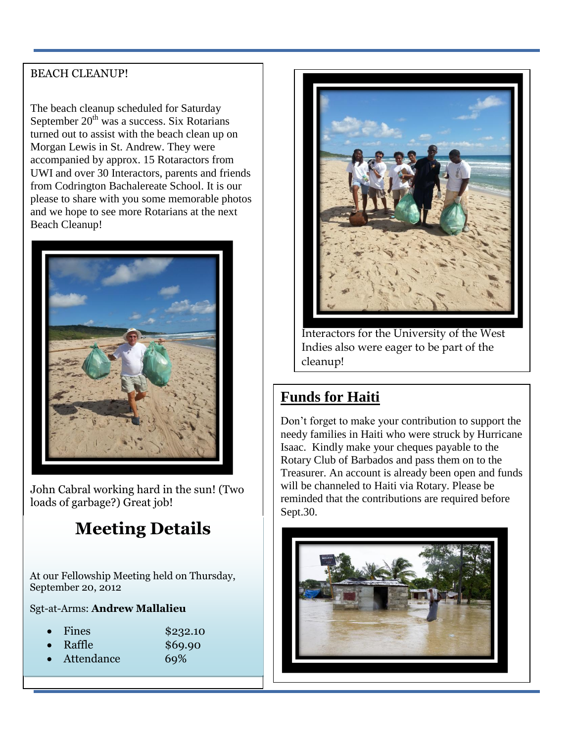#### BEACH CLEANUP!

The beach cleanup scheduled for Saturday September  $20<sup>th</sup>$  was a success. Six Rotarians turned out to assist with the beach clean up on Morgan Lewis in St. Andrew. They were accompanied by approx. 15 Rotaractors from UWI and over 30 Interactors, parents and friends from Codrington Bachalereate School. It is our please to share with you some memorable photos and we hope to see more Rotarians at the next Beach Cleanup!



John Cabral working hard in the sun! (Two loads of garbage?) Great job!

# **Meeting Details**

At our Fellowship Meeting held on Thursday, September 20, 2012

Sgt-at-Arms: **Andrew Mallalieu**

Fines \$232.10

- 
- Raffle \$69.90





Interactors for the University of the West Indies also were eager to be part of the cleanup!

#### **Funds for Haiti**

Don't forget to make your contribution to support the needy families in Haiti who were struck by Hurricane Isaac. Kindly make your cheques payable to the Rotary Club of Barbados and pass them on to the Treasurer. An account is already been open and funds will be channeled to Haiti via Rotary. Please be reminded that the contributions are required before Sept.30.

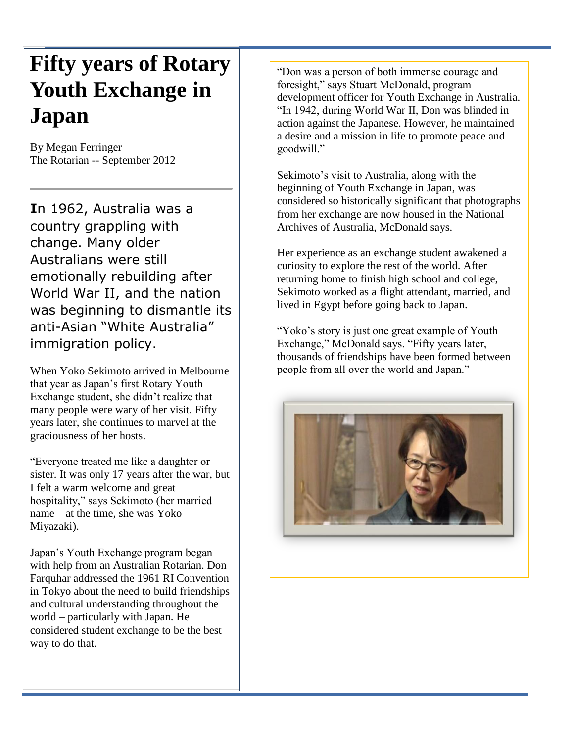# **Fifty years of Rotary Youth Exchange in Japan**

By Megan Ferringer The Rotarian -- September 2012

**I**n 1962, Australia was a country grappling with change. Many older Australians were still emotionally rebuilding after World War II, and the nation was beginning to dismantle its anti-Asian "White Australia" immigration policy.

When Yoko Sekimoto arrived in Melbourne that year as Japan's first Rotary Youth Exchange student, she didn't realize that many people were wary of her visit. Fifty years later, she continues to marvel at the graciousness of her hosts.

"Everyone treated me like a daughter or sister. It was only 17 years after the war, but I felt a warm welcome and great hospitality," says Sekimoto (her married name – at the time, she was Yoko Miyazaki).

Japan's Youth Exchange program began with help from an Australian Rotarian. Don Farquhar addressed the 1961 RI Convention in Tokyo about the need to build friendships and cultural understanding throughout the world – particularly with Japan. He considered student exchange to be the best way to do that.

"Don was a person of both immense courage and foresight," says Stuart McDonald, program development officer for Youth Exchange in Australia. "In 1942, during World War II, Don was blinded in action against the Japanese. However, he maintained a desire and a mission in life to promote peace and goodwill."

Sekimoto's visit to Australia, along with the beginning of Youth Exchange in Japan, was considered so historically significant that photographs from her exchange are now housed in the National Archives of Australia, McDonald says.

Her experience as an exchange student awakened a curiosity to explore the rest of the world. After returning home to finish high school and college, Sekimoto worked as a flight attendant, married, and lived in Egypt before going back to Japan.

"Yoko's story is just one great example of Youth" Exchange," McDonald says. "Fifty years later, thousands of friendships have been formed between people from all over the world and Japan."